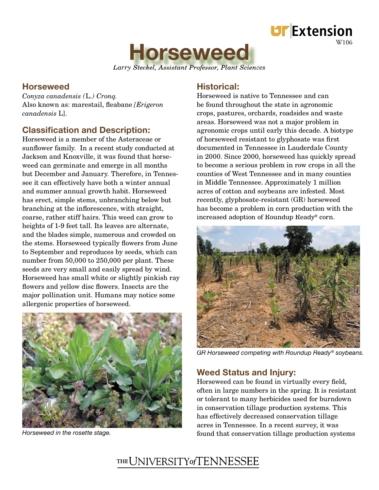



*Larry Steckel, Assistant Professor, Plant Sciences Professor,*

# **Horseweed**

*Conyza canadensis (*L*.) Cronq.* Also known as: marestail, fleabane *[Erigeron*] *canadensis* L].

# **Classification and Description:**

Horseweed is a member of the Asteraceae or sunflower family. In a recent study conducted at Jackson and Knoxville, it was found that horseweed can germinate and emerge in all months but December and January. Therefore, in Tennessee it can effectively have both a winter annual and summer annual growth habit. Horseweed has erect, simple stems, unbranching below but branching at the inflorescence, with straight, coarse, rather stiff hairs. This weed can grow to heights of 1-9 feet tall. Its leaves are alternate, and the blades simple, numerous and crowded on the stems. Horseweed typically flowers from June to September and reproduces by seeds, which can number from 50,000 to 250,000 per plant. These seeds are very small and easily spread by wind. Horseweed has small white or slightly pinkish ray flowers and yellow disc flowers. Insects are the major pollination unit. Humans may notice some allergenic properties of horseweed.



# Historical:

Horseweed is native to Tennessee and can be found throughout the state in agronomic crops, pastures, orchards, roadsides and waste areas. Horseweed was not a major problem in agronomic crops until early this decade. A biotype of horseweed resistant to glyphosate was first documented in Tennessee in Lauderdale County in 2000. Since 2000, horseweed has quickly spread to become a serious problem in row crops in all the counties of West Tennessee and in many counties in Middle Tennessee. Approximately 1 million acres of cotton and soybeans are infested. Most recently, glyphosate-resistant (GR) horseweed has become a problem in corn production with the increased adoption of Roundup Ready® corn.



GR Horseweed competing with Roundup Ready® soybeans.

## Weed Status and Injury:

Horseweed can be found in virtually every field, often in large numbers in the spring. It is resistant or tolerant to many herbicides used for burndown in conservation tillage production systems. This has effectively decreased conservation tillage acres in Tennessee. In a recent survey, it was Horseweed in the rosette stage. The roset of the stage of the state of the state of the stage production systems

# THE UNIVERSITY of TENNESSEE